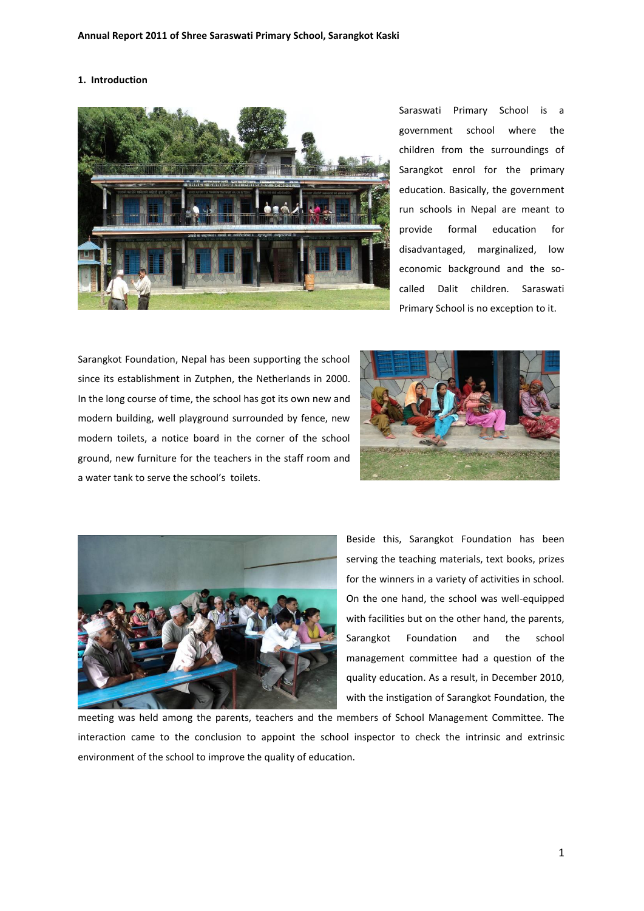# **1. Introduction**



Saraswati Primary School is a government school where the children from the surroundings of Sarangkot enrol for the primary education. Basically, the government run schools in Nepal are meant to provide formal education for disadvantaged, marginalized, low economic background and the socalled Dalit children. Saraswati Primary School is no exception to it.

Sarangkot Foundation, Nepal has been supporting the school since its establishment in Zutphen, the Netherlands in 2000. In the long course of time, the school has got its own new and modern building, well playground surrounded by fence, new modern toilets, a notice board in the corner of the school ground, new furniture for the teachers in the staff room and a water tank to serve the school's toilets.





Beside this, Sarangkot Foundation has been serving the teaching materials, text books, prizes for the winners in a variety of activities in school. On the one hand, the school was well-equipped with facilities but on the other hand, the parents, Sarangkot Foundation and the school management committee had a question of the quality education. As a result, in December 2010, with the instigation of Sarangkot Foundation, the

meeting was held among the parents, teachers and the members of School Management Committee. The interaction came to the conclusion to appoint the school inspector to check the intrinsic and extrinsic environment of the school to improve the quality of education.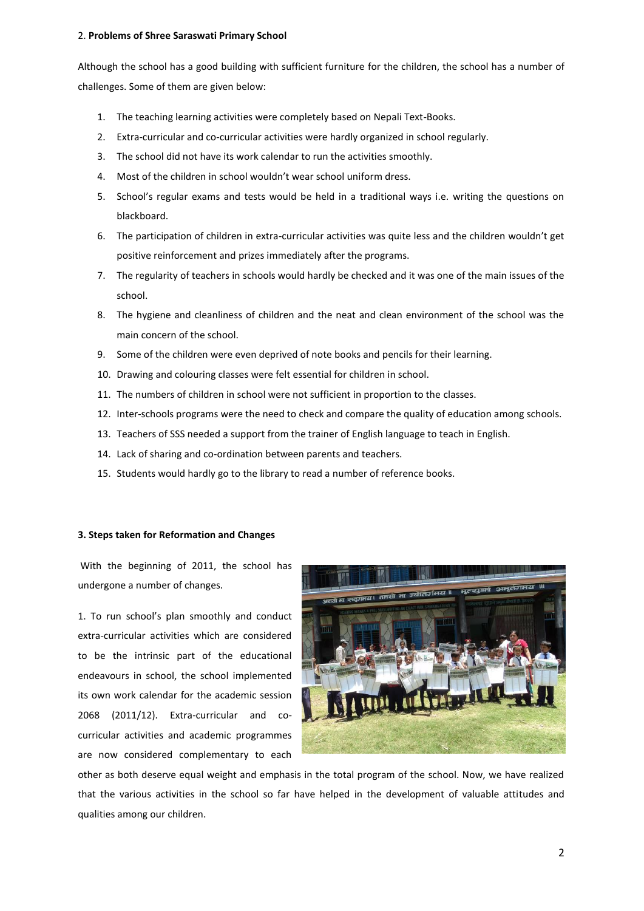### 2. **Problems of Shree Saraswati Primary School**

Although the school has a good building with sufficient furniture for the children, the school has a number of challenges. Some of them are given below:

- 1. The teaching learning activities were completely based on Nepali Text-Books.
- 2. Extra-curricular and co-curricular activities were hardly organized in school regularly.
- 3. The school did not have its work calendar to run the activities smoothly.
- 4. Most of the children in school wouldn't wear school uniform dress.
- 5. School's regular exams and tests would be held in a traditional ways i.e. writing the questions on blackboard.
- 6. The participation of children in extra-curricular activities was quite less and the children wouldn't get positive reinforcement and prizes immediately after the programs.
- 7. The regularity of teachers in schools would hardly be checked and it was one of the main issues of the school.
- 8. The hygiene and cleanliness of children and the neat and clean environment of the school was the main concern of the school.
- 9. Some of the children were even deprived of note books and pencils for their learning.
- 10. Drawing and colouring classes were felt essential for children in school.
- 11. The numbers of children in school were not sufficient in proportion to the classes.
- 12. Inter-schools programs were the need to check and compare the quality of education among schools.
- 13. Teachers of SSS needed a support from the trainer of English language to teach in English.
- 14. Lack of sharing and co-ordination between parents and teachers.
- 15. Students would hardly go to the library to read a number of reference books.

### **3. Steps taken for Reformation and Changes**

With the beginning of 2011, the school has undergone a number of changes.

1. To run school's plan smoothly and conduct extra-curricular activities which are considered to be the intrinsic part of the educational endeavours in school, the school implemented its own work calendar for the academic session 2068 (2011/12). Extra-curricular and cocurricular activities and academic programmes are now considered complementary to each



other as both deserve equal weight and emphasis in the total program of the school. Now, we have realized that the various activities in the school so far have helped in the development of valuable attitudes and qualities among our children.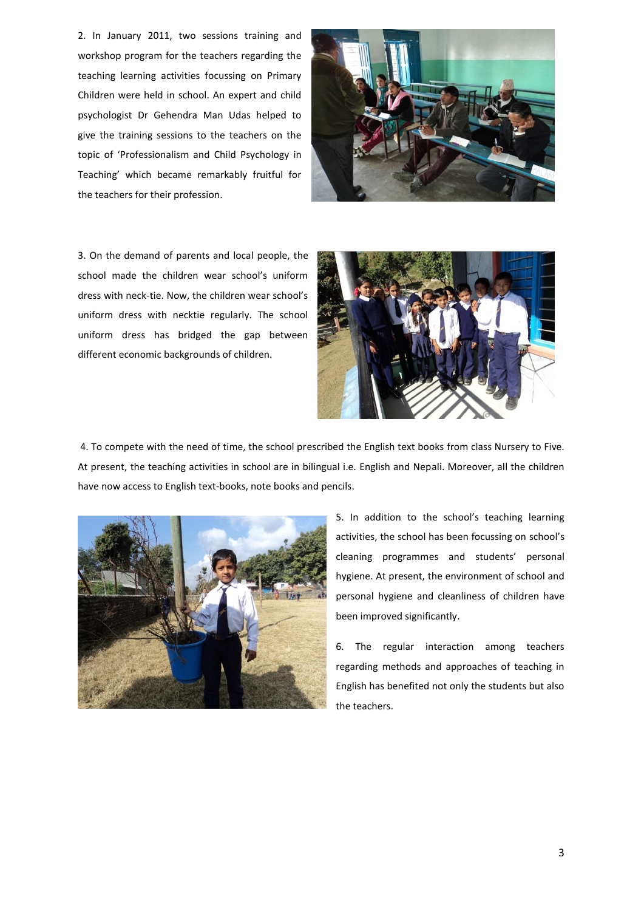2. In January 2011, two sessions training and workshop program for the teachers regarding the teaching learning activities focussing on Primary Children were held in school. An expert and child psychologist Dr Gehendra Man Udas helped to give the training sessions to the teachers on the topic of 'Professionalism and Child Psychology in Teaching' which became remarkably fruitful for the teachers for their profession.



3. On the demand of parents and local people, the school made the children wear school's uniform dress with neck-tie. Now, the children wear school's uniform dress with necktie regularly. The school uniform dress has bridged the gap between different economic backgrounds of children.



4. To compete with the need of time, the school prescribed the English text books from class Nursery to Five. At present, the teaching activities in school are in bilingual i.e. English and Nepali. Moreover, all the children have now access to English text-books, note books and pencils.



5. In addition to the school's teaching learning activities, the school has been focussing on school's cleaning programmes and students' personal hygiene. At present, the environment of school and personal hygiene and cleanliness of children have been improved significantly.

6. The regular interaction among teachers regarding methods and approaches of teaching in English has benefited not only the students but also the teachers.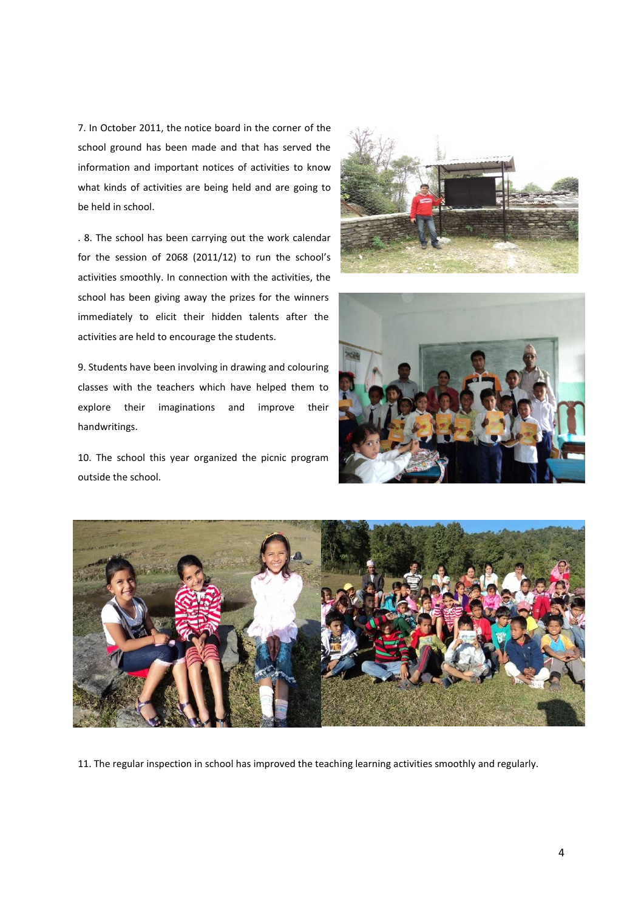7. In October 2011, the notice board in the corner of the school ground has been made and that has served the information and important notices of activities to know what kinds of activities are being held and are going to be held in school.

. 8. The school has been carrying out the work calendar for the session of 2068 (2011/12) to run the school's activities smoothly. In connection with the activities, the school has been giving away the prizes for the winners immediately to elicit their hidden talents after the activities are held to encourage the students.

9. Students have been involving in drawing and colouring classes with the teachers which have helped them to explore their imaginations and improve their handwritings.

10. The school this year organized the picnic program outside the school.







11. The regular inspection in school has improved the teaching learning activities smoothly and regularly.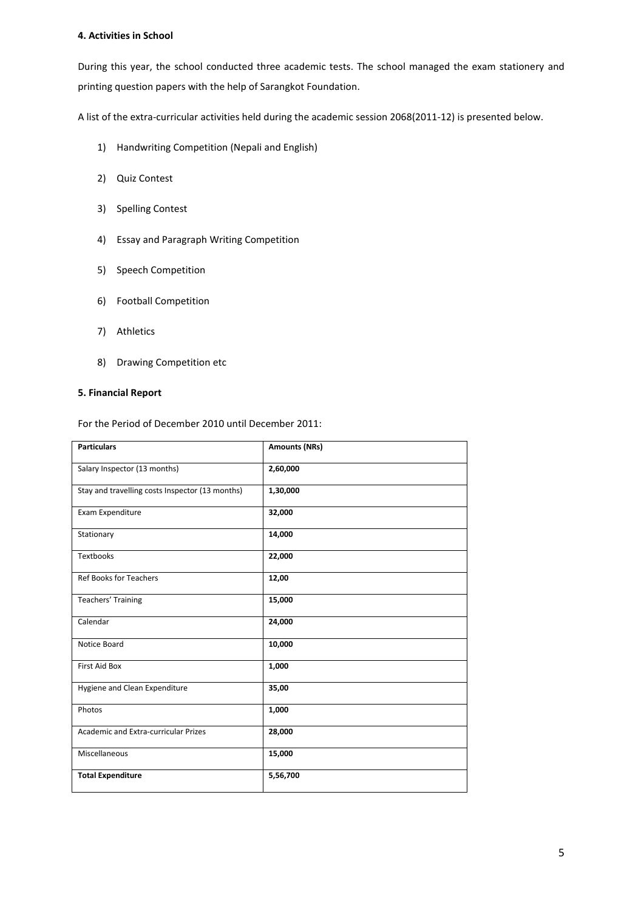# **4. Activities in School**

During this year, the school conducted three academic tests. The school managed the exam stationery and printing question papers with the help of Sarangkot Foundation.

A list of the extra-curricular activities held during the academic session 2068(2011-12) is presented below.

- 1) Handwriting Competition (Nepali and English)
- 2) Quiz Contest
- 3) Spelling Contest
- 4) Essay and Paragraph Writing Competition
- 5) Speech Competition
- 6) Football Competition
- 7) Athletics
- 8) Drawing Competition etc

# **5. Financial Report**

For the Period of December 2010 until December 2011:

| <b>Particulars</b>                              | <b>Amounts (NRs)</b> |
|-------------------------------------------------|----------------------|
| Salary Inspector (13 months)                    | 2,60,000             |
| Stay and travelling costs Inspector (13 months) | 1,30,000             |
| Exam Expenditure                                | 32,000               |
| Stationary                                      | 14,000               |
| Textbooks                                       | 22,000               |
| <b>Ref Books for Teachers</b>                   | 12,00                |
| Teachers' Training                              | 15,000               |
| Calendar                                        | 24,000               |
| Notice Board                                    | 10,000               |
| <b>First Aid Box</b>                            | 1,000                |
| Hygiene and Clean Expenditure                   | 35,00                |
| Photos                                          | 1,000                |
| Academic and Extra-curricular Prizes            | 28,000               |
| Miscellaneous                                   | 15,000               |
| <b>Total Expenditure</b>                        | 5,56,700             |